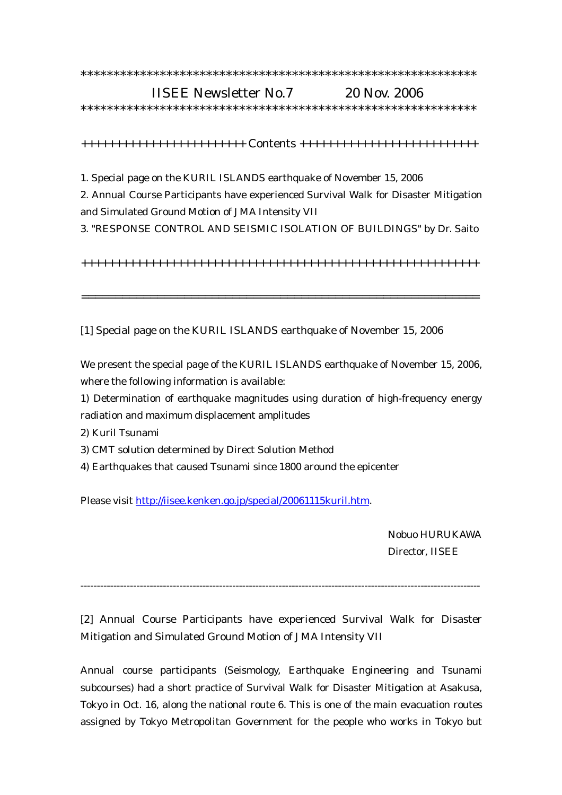## \*\*\*\*\*\*\*\*\*\*\*\*\*\*\*\*\*\*\*\*\*\*\*\*\*\*\*\*\*\*\*\*\*\*\*\*\*\*\*\*\*\*\*\*\*\*\*\*\*\*\*\*\*\*\*\*\*\*\*\* IISEE Newsletter No.7 20 Nov. 2006

\*\*\*\*\*\*\*\*\*\*\*\*\*\*\*\*\*\*\*\*\*\*\*\*\*\*\*\*\*\*\*\*\*\*\*\*\*\*\*\*\*\*\*\*\*\*\*\*\*\*\*\*\*\*\*\*\*\*\*\*

++++++++++++++++++++++++ Contents ++++++++++++++++++++++++++

1. Special page on the KURIL ISLANDS earthquake of November 15, 2006

2. Annual Course Participants have experienced Survival Walk for Disaster Mitigation and Simulated Ground Motion of JMA Intensity VII

3. "RESPONSE CONTROL AND SEISMIC ISOLATION OF BUILDINGS" by Dr. Saito

++++++++++++++++++++++++++++++++++++++++++++++++++++++++++

==========================================================

[1] Special page on the KURIL ISLANDS earthquake of November 15, 2006

We present the special page of the KURIL ISLANDS earthquake of November 15, 2006, where the following information is available:

1) Determination of earthquake magnitudes using duration of high-frequency energy radiation and maximum displacement amplitudes

2) Kuril Tsunami

3) CMT solution determined by Direct Solution Method

4) Earthquakes that caused Tsunami since 1800 around the epicenter

Please visit http://iisee.kenken.go.jp/special/20061115kuril.htm.

 Nobuo HURUKAWA Director, IISEE

-------------------------------------------------------------------------------------------------------------------------

[2] Annual Course Participants have experienced Survival Walk for Disaster Mitigation and Simulated Ground Motion of JMA Intensity VII

Annual course participants (Seismology, Earthquake Engineering and Tsunami subcourses) had a short practice of Survival Walk for Disaster Mitigation at Asakusa, Tokyo in Oct. 16, along the national route 6. This is one of the main evacuation routes assigned by Tokyo Metropolitan Government for the people who works in Tokyo but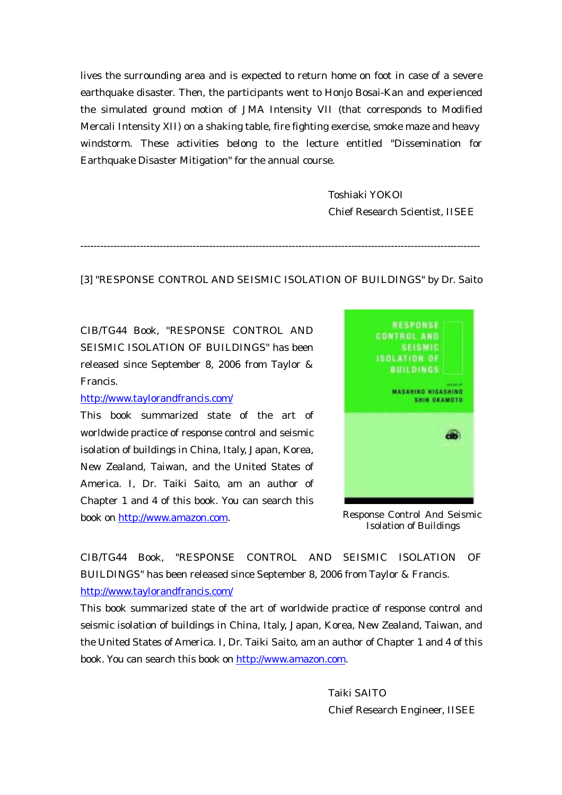lives the surrounding area and is expected to return home on foot in case of a severe earthquake disaster. Then, the participants went to Honjo Bosai-Kan and experienced the simulated ground motion of JMA Intensity VII (that corresponds to Modified Mercali Intensity XII) on a shaking table, fire fighting exercise, smoke maze and heavy windstorm. These activities belong to the lecture entitled "Dissemination for Earthquake Disaster Mitigation" for the annual course.

> Toshiaki YOKOI Chief Research Scientist, IISEE

[3] "RESPONSE CONTROL AND SEISMIC ISOLATION OF BUILDINGS" by Dr. Saito

-------------------------------------------------------------------------------------------------------------------------

CIB/TG44 Book, "RESPONSE CONTROL AND SEISMIC ISOLATION OF BUILDINGS" has been released since September 8, 2006 from Taylor & Francis.

## http://www.taylorandfrancis.com/

This book summarized state of the art of worldwide practice of response control and seismic isolation of buildings in China, Italy, Japan, Korea, New Zealand, Taiwan, and the United States of America. I, Dr. Taiki Saito, am an author of Chapter 1 and 4 of this book. You can search this book on http://www.amazon.com.



Response Control And Seismic Isolation of Buildings

CIB/TG44 Book, "RESPONSE CONTROL AND SEISMIC ISOLATION OF BUILDINGS" has been released since September 8, 2006 from Taylor & Francis. http://www.taylorandfrancis.com/

This book summarized state of the art of worldwide practice of response control and seismic isolation of buildings in China, Italy, Japan, Korea, New Zealand, Taiwan, and the United States of America. I, Dr. Taiki Saito, am an author of Chapter 1 and 4 of this book. You can search this book on http://www.amazon.com.

> Taiki SAITO Chief Research Engineer, IISEE